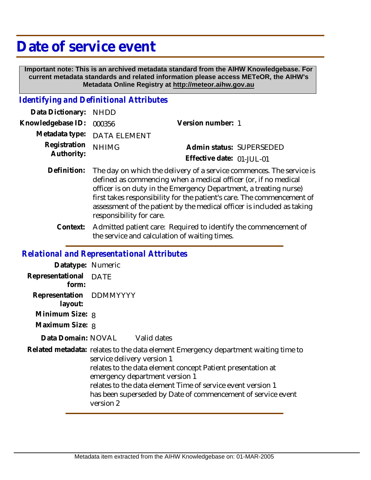# **Date of service event**

 **Important note: This is an archived metadata standard from the AIHW Knowledgebase. For current metadata standards and related information please access METeOR, the AIHW's Metadata Online Registry at http://meteor.aihw.gov.au**

## *Identifying and Definitional Attributes*

| Data Dictionary: NHDD    |                             |                           |                          |
|--------------------------|-----------------------------|---------------------------|--------------------------|
| Knowledgebase ID: 000356 |                             | Version number: 1         |                          |
|                          | Metadata type: DATA ELEMENT |                           |                          |
| Registration NHIMG       |                             |                           | Admin status: SUPERSEDED |
| Authority:               |                             | Effective date: 01-JUL-01 |                          |

- Definition: The day on which the delivery of a service commences. The service is defined as commencing when a medical officer (or, if no medical officer is on duty in the Emergency Department, a treating nurse) first takes responsibility for the patient's care. The commencement of assessment of the patient by the medical officer is included as taking responsibility for care.
	- Admitted patient care: Required to identify the commencement of the service and calculation of waiting times. **Context:**

#### *Relational and Representational Attributes*

| Datatype: Numeric                  |                                                                                                                                                                                                                                                                                                                                                               |
|------------------------------------|---------------------------------------------------------------------------------------------------------------------------------------------------------------------------------------------------------------------------------------------------------------------------------------------------------------------------------------------------------------|
| Representational DATE<br>form:     |                                                                                                                                                                                                                                                                                                                                                               |
| Representation DDMMYYYY<br>layout: |                                                                                                                                                                                                                                                                                                                                                               |
| Minimum Size: 8                    |                                                                                                                                                                                                                                                                                                                                                               |
| Maximum Size: 8                    |                                                                                                                                                                                                                                                                                                                                                               |
|                                    | Data Domain: NOVAL Valid dates                                                                                                                                                                                                                                                                                                                                |
|                                    | Related metadata: relates to the data element Emergency department waiting time to<br>service delivery version 1<br>relates to the data element concept Patient presentation at<br>emergency department version 1<br>relates to the data element Time of service event version 1<br>has been superseded by Date of commencement of service event<br>version 2 |